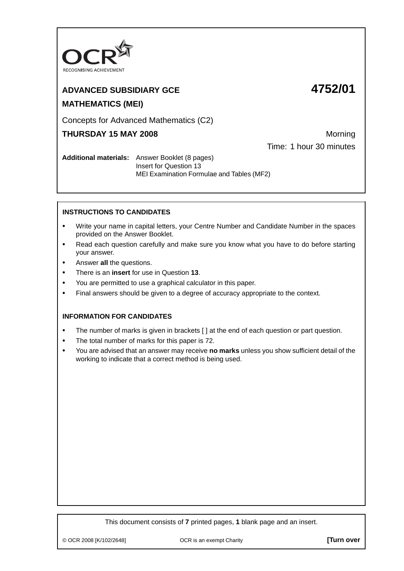

# **ADVANCED SUBSIDIARY GCE 4752/01 MATHEMATICS (MEI)**

## Concepts for Advanced Mathematics (C2)

## **THURSDAY 15 MAY 2008** Morning

Time: 1 hour 30 minutes

**Additional materials:** Answer Booklet (8 pages) Insert for Question 13 MEI Examination Formulae and Tables (MF2)

## **INSTRUCTIONS TO CANDIDATES**

- **•** Write your name in capital letters, your Centre Number and Candidate Number in the spaces provided on the Answer Booklet.
- **•** Read each question carefully and make sure you know what you have to do before starting your answer.
- **•** Answer **all** the questions.
- **•** There is an **insert** for use in Question **13**.
- **•** You are permitted to use a graphical calculator in this paper.
- **•** Final answers should be given to a degree of accuracy appropriate to the context.

## **INFORMATION FOR CANDIDATES**

- The number of marks is given in brackets [] at the end of each question or part question.
- **•** The total number of marks for this paper is 72.
- **•** You are advised that an answer may receive **no marks** unless you show sufficient detail of the working to indicate that a correct method is being used.

This document consists of **7** printed pages, **1** blank page and an insert.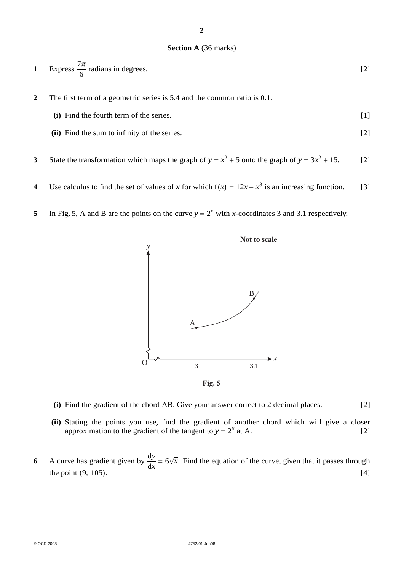### **Section A** (36 marks)

1 Express 
$$
\frac{7\pi}{6}
$$
 radians in degrees. [2]

- **2** The first term of a geometric series is 5.4 and the common ratio is 0.1.
	- **(i)** Find the fourth term of the series. [1]
	- **(ii)** Find the sum to infinity of the series. [2]
- **3** State the transformation which maps the graph of  $y = x^2 + 5$  onto the graph of  $y = 3x^2 + 15$ . [2]
- **4** Use calculus to find the set of values of *x* for which  $f(x) = 12x x^3$  is an increasing function. [3]
- **5** In Fig. 5, A and B are the points on the curve  $y = 2^x$  with *x*-coordinates 3 and 3.1 respectively.



- **(i)** Find the gradient of the chord AB. Give your answer correct to 2 decimal places. [2]
- **(ii)** Stating the points you use, find the gradient of another chord which will give a closer approximation to the gradient of the tangent to  $y = 2^x$  at A. [2]
- **6** A curve has gradient given by  $\frac{dy}{dx} = 6\sqrt{x}$ . Find the equation of the curve, given that it passes through the point  $(9, 105)$ . [4]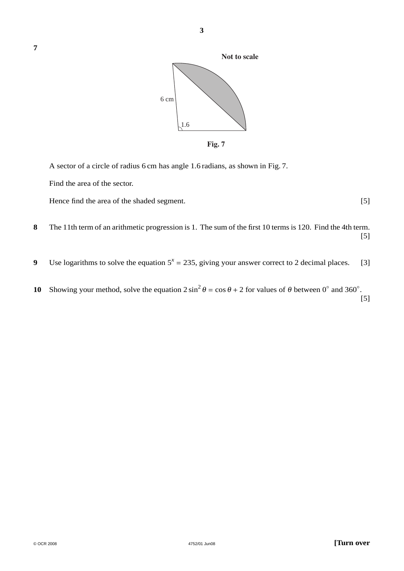

**3**

A sector of a circle of radius 6 cm has angle 1.6 radians, as shown in Fig. 7.

Find the area of the sector.

Hence find the area of the shaded segment. [5]

- **8** The 11th term of an arithmetic progression is 1. The sum of the first 10 terms is 120. Find the 4th term. [5]
- **9** Use logarithms to solve the equation  $5^x = 235$ , giving your answer correct to 2 decimal places. [3]
- **10** Showing your method, solve the equation  $2 \sin^2 \theta = \cos \theta + 2$  for values of  $\theta$  between  $0^\circ$  and 360°. [5]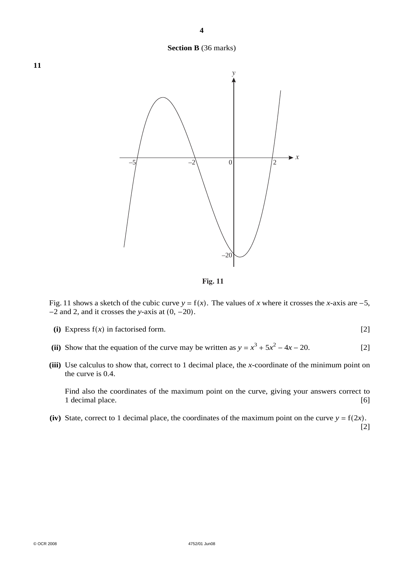

**4**



**Fig. 11**

Fig. 11 shows a sketch of the cubic curve  $y = f(x)$ . The values of *x* where it crosses the *x*-axis are −5, −2 and 2, and it crosses the *y*-axis at (0, −20).

- **(i)** Express  $f(x)$  in factorised form. [2]
- (ii) Show that the equation of the curve may be written as  $y = x^3 + 5x^2 4x 20$ . [2]
- **(iii)** Use calculus to show that, correct to 1 decimal place, the *x*-coordinate of the minimum point on the curve is 0.4.

Find also the coordinates of the maximum point on the curve, giving your answers correct to 1 decimal place. [6]

(iv) State, correct to 1 decimal place, the coordinates of the maximum point on the curve  $y = f(2x)$ .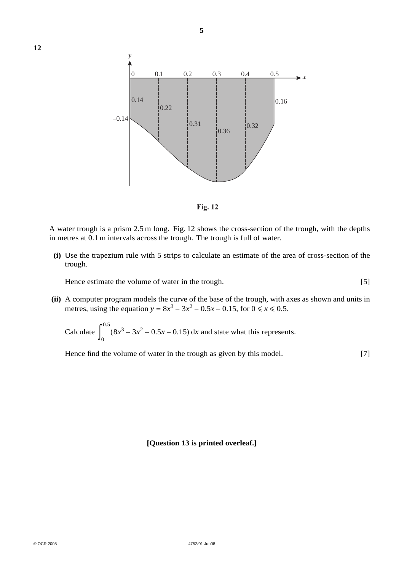

**5**

**Fig. 12** 

A water trough is a prism 2.5 m long. Fig. 12 shows the cross-section of the trough, with the depths in metres at 0.1 m intervals across the trough. The trough is full of water.

**(i)** Use the trapezium rule with 5 strips to calculate an estimate of the area of cross-section of the trough.

Hence estimate the volume of water in the trough. [5]

**(ii)** A computer program models the curve of the base of the trough, with axes as shown and units in metres, using the equation  $y = 8x^3 - 3x^2 - 0.5x - 0.15$ , for  $0 \le x \le 0.5$ .

Calculate 
$$
\int_0^{0.5} (8x^3 - 3x^2 - 0.5x - 0.15) dx
$$
 and state what this represents.

Hence find the volume of water in the trough as given by this model. [7]

**[Question 13 is printed overleaf.]**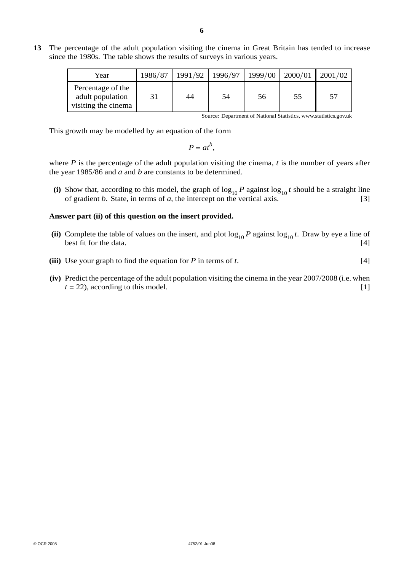**13** The percentage of the adult population visiting the cinema in Great Britain has tended to increase since the 1980s. The table shows the results of surveys in various years.

| Year                                                         | 1986/87 |    | 1991/92   1996/97   1999/00   2000/01 |    |    | 2001/02 |
|--------------------------------------------------------------|---------|----|---------------------------------------|----|----|---------|
| Percentage of the<br>adult population<br>visiting the cinema |         | 44 | 54                                    | 56 | 55 |         |

Source: Department of National Statistics, www.statistics.gov.uk

This growth may be modelled by an equation of the form

$$
P=at^b,
$$

where *P* is the percentage of the adult population visiting the cinema, *t* is the number of years after the year 1985/86 and *a* and *b* are constants to be determined.

(i) Show that, according to this model, the graph of  $\log_{10} P$  against  $\log_{10} t$  should be a straight line of gradient *b*. State, in terms of *a*, the intercept on the vertical axis. [3] of gradient  $b$ . State, in terms of  $a$ , the intercept on the vertical axis.

#### **Answer part (ii) of this question on the insert provided.**

- (ii) Complete the table of values on the insert, and plot  $\log_{10} P$  against  $\log_{10} t$ . Draw by eye a line of best fit for the data. best fit for the data.
- **(iii)** Use your graph to find the equation for *P* in terms of *t*. [4]
- **(iv)** Predict the percentage of the adult population visiting the cinema in the year 2007/2008 (i.e. when  $t = 22$ ), according to this model. [1]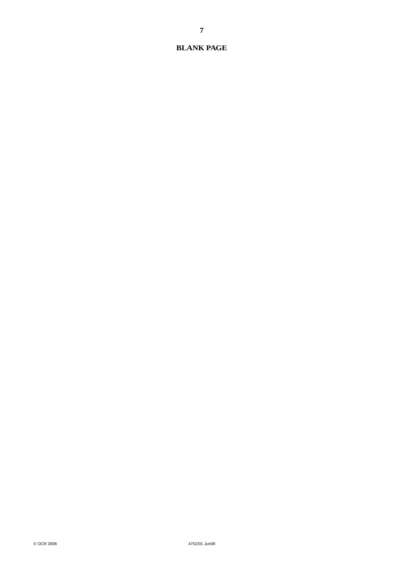## **BLANK PAGE**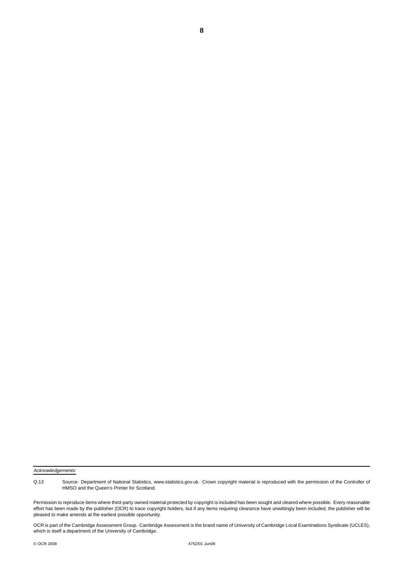#### Acknowledgements:

Q.13 Source: Department of National Statistics, www.statistics.gov.uk. Crown copyright material is reproduced with the permission of the Controller of HMSO and the Queen's Printer for Scotland.

**8**

Permission to reproduce items where third-party owned material protected by copyright is included has been sought and cleared where possible. Every reasonable effort has been made by the publisher (OCR) to trace copyright holders, but if any items requiring clearance have unwittingly been included, the publisher will be pleased to make amends at the earliest possible opportunity.

OCR is part of the Cambridge Assessment Group. Cambridge Assessment is the brand name of University of Cambridge Local Examinations Syndicate (UCLES), which is itself a department of the University of Cambridge.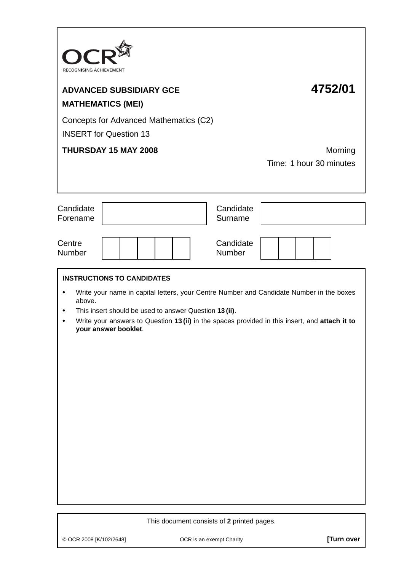| RECOGNISING ACHIEVEMENT |
|-------------------------|

| <b>ADVANCED SUBSIDIARY GCE</b><br><b>MATHEMATICS (MEI)</b>                                                                                                                                                                                                                                                                                 | 4752/01                            |
|--------------------------------------------------------------------------------------------------------------------------------------------------------------------------------------------------------------------------------------------------------------------------------------------------------------------------------------------|------------------------------------|
| Concepts for Advanced Mathematics (C2)<br><b>INSERT for Question 13</b>                                                                                                                                                                                                                                                                    |                                    |
| THURSDAY 15 MAY 2008                                                                                                                                                                                                                                                                                                                       | Morning<br>Time: 1 hour 30 minutes |
| Candidate<br>Candidate<br>Surname<br>Forename                                                                                                                                                                                                                                                                                              |                                    |
| Candidate<br>Centre<br>Number<br>Number                                                                                                                                                                                                                                                                                                    |                                    |
| <b>INSTRUCTIONS TO CANDIDATES</b><br>Write your name in capital letters, your Centre Number and Candidate Number in the boxes<br>٠<br>above.<br>This insert should be used to answer Question 13 (ii).<br>٠<br>Write your answers to Question 13 (ii) in the spaces provided in this insert, and attach it to<br>٠<br>your answer booklet. |                                    |

## This document consists of **2** printed pages.